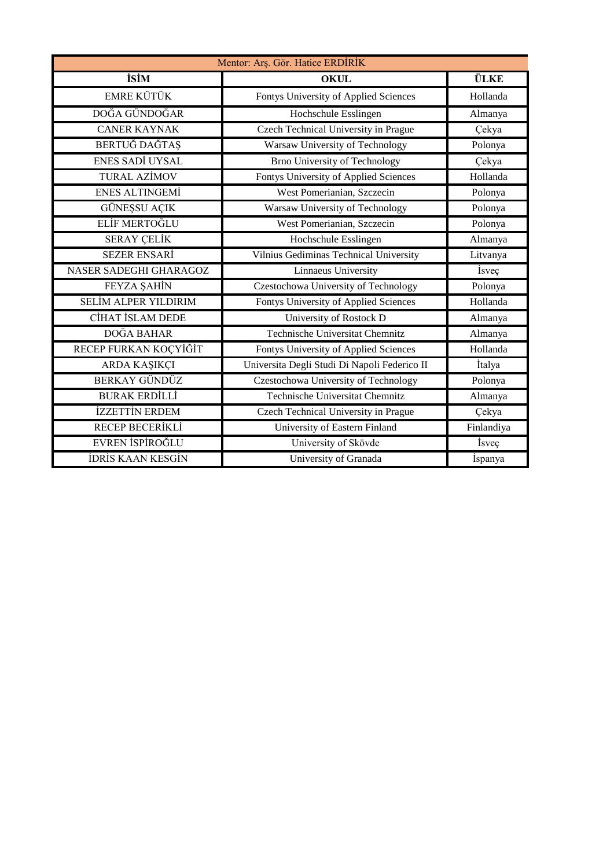| Mentor: Arş. Gör. Hatice ERDİRİK |                                              |               |
|----------------------------------|----------------------------------------------|---------------|
| <b>isim</b>                      | <b>OKUL</b>                                  | <b>ÜLKE</b>   |
| <b>EMRE KÜTÜK</b>                | Fontys University of Applied Sciences        | Hollanda      |
| DOĞA GÜNDOĞAR                    | Hochschule Esslingen                         | Almanya       |
| <b>CANER KAYNAK</b>              | Czech Technical University in Prague         | Çekya         |
| BERTUĞ DAĞTAŞ                    | Warsaw University of Technology              | Polonya       |
| <b>ENES SADİ UYSAL</b>           | <b>Brno University of Technology</b>         | Çekya         |
| <b>TURAL AZİMOV</b>              | Fontys University of Applied Sciences        | Hollanda      |
| <b>ENES ALTINGEMI</b>            | West Pomerianian, Szczecin                   | Polonya       |
| <b>GÜNESSU AÇIK</b>              | Warsaw University of Technology              | Polonya       |
| ELİF MERTOĞLU                    | West Pomerianian, Szczecin                   | Polonya       |
| <b>SERAY ÇELİK</b>               | Hochschule Esslingen                         | Almanya       |
| <b>SEZER ENSARİ</b>              | Vilnius Gediminas Technical University       | Litvanya      |
| <b>NASER SADEGHI GHARAGOZ</b>    | Linnaeus University                          | İsveç         |
| FEYZA ŞAHİN                      | Czestochowa University of Technology         | Polonya       |
| <b>SELİM ALPER YILDIRIM</b>      | Fontys University of Applied Sciences        | Hollanda      |
| CİHAT İSLAM DEDE                 | University of Rostock D                      | Almanya       |
| DOĞA BAHAR                       | Technische Universitat Chemnitz              | Almanya       |
| RECEP FURKAN KOÇYİĞİT            | Fontys University of Applied Sciences        | Hollanda      |
| ARDA KAŞIKÇI                     | Universita Degli Studi Di Napoli Federico II | İtalya        |
| <b>BERKAY GÜNDÜZ</b>             | Czestochowa University of Technology         | Polonya       |
| <b>BURAK ERDİLLİ</b>             | <b>Technische Universitat Chemnitz</b>       | Almanya       |
| <b>İZZETTİN ERDEM</b>            | Czech Technical University in Prague         | Çekya         |
| RECEP BECERIKLI                  | University of Eastern Finland                | Finlandiya    |
| EVREN İSPİROĞLU                  | University of Skövde                         | <i>i</i> sveç |
| <b>İDRİS KAAN KESGİN</b>         | University of Granada                        | İspanya       |